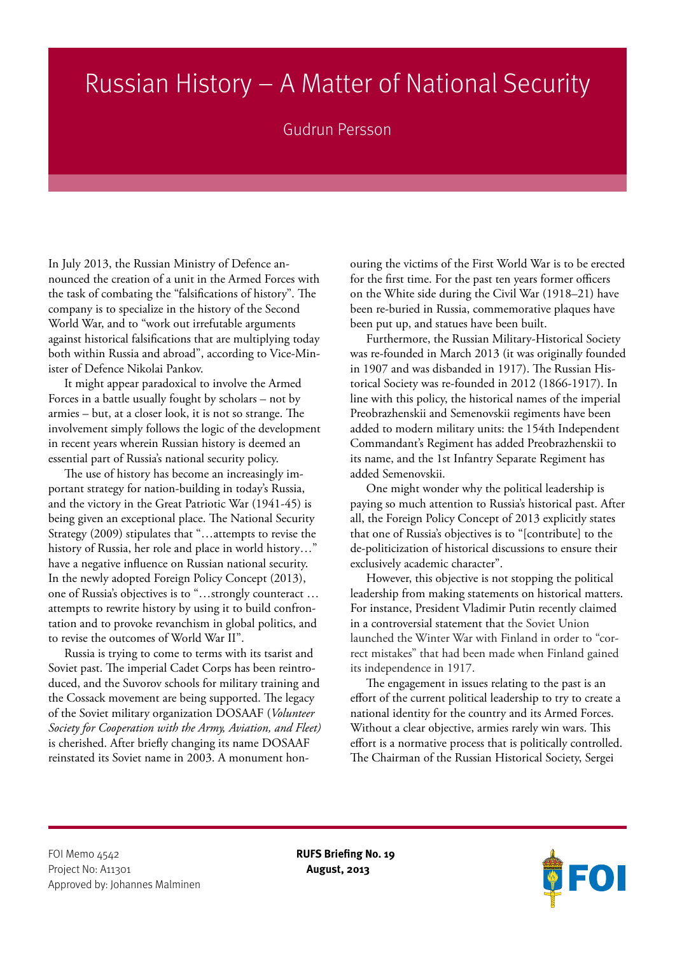## Russian History – A Matter of National Security

## Gudrun Persson

In July 2013, the Russian Ministry of Defence announced the creation of a unit in the Armed Forces with the task of combating the "falsifications of history". The company is to specialize in the history of the Second World War, and to "work out irrefutable arguments against historical falsifications that are multiplying today both within Russia and abroad", according to Vice-Minister of Defence Nikolai Pankov.

It might appear paradoxical to involve the Armed Forces in a battle usually fought by scholars – not by armies – but, at a closer look, it is not so strange. The involvement simply follows the logic of the development in recent years wherein Russian history is deemed an essential part of Russia's national security policy.

The use of history has become an increasingly important strategy for nation-building in today's Russia, and the victory in the Great Patriotic War (1941-45) is being given an exceptional place. The National Security Strategy (2009) stipulates that "…attempts to revise the history of Russia, her role and place in world history…" have a negative influence on Russian national security. In the newly adopted Foreign Policy Concept (2013), one of Russia's objectives is to "…strongly counteract … attempts to rewrite history by using it to build confrontation and to provoke revanchism in global politics, and to revise the outcomes of World War II".

Russia is trying to come to terms with its tsarist and Soviet past. The imperial Cadet Corps has been reintroduced, and the Suvorov schools for military training and the Cossack movement are being supported. The legacy of the Soviet military organization DOSAAF (*Volunteer Society for Cooperation with the Army, Aviation, and Fleet)*  is cherished. After briefly changing its name DOSAAF reinstated its Soviet name in 2003. A monument honouring the victims of the First World War is to be erected for the first time. For the past ten years former officers on the White side during the Civil War (1918–21) have been re-buried in Russia, commemorative plaques have been put up, and statues have been built.

Furthermore, the Russian Military-Historical Society was re-founded in March 2013 (it was originally founded in 1907 and was disbanded in 1917). The Russian Historical Society was re-founded in 2012 (1866-1917). In line with this policy, the historical names of the imperial Preobrazhenskii and Semenovskii regiments have been added to modern military units: the 154th Independent Commandant's Regiment has added Preobrazhenskii to its name, and the 1st Infantry Separate Regiment has added Semenovskii.

One might wonder why the political leadership is paying so much attention to Russia's historical past. After all, the Foreign Policy Concept of 2013 explicitly states that one of Russia's objectives is to "[contribute] to the de-politicization of historical discussions to ensure their exclusively academic character".

However, this objective is not stopping the political leadership from making statements on historical matters. For instance, President Vladimir Putin recently claimed in a controversial statement that the Soviet Union launched the Winter War with Finland in order to "correct mistakes" that had been made when Finland gained its independence in 1917.

The engagement in issues relating to the past is an effort of the current political leadership to try to create a national identity for the country and its Armed Forces. Without a clear objective, armies rarely win wars. This effort is a normative process that is politically controlled. The Chairman of the Russian Historical Society, Sergei

FOI Memo <sub>4542</sub> **RUFS Briefing No. 19** Project No: A11301 **August, 2013** Approved by: Johannes Malminen